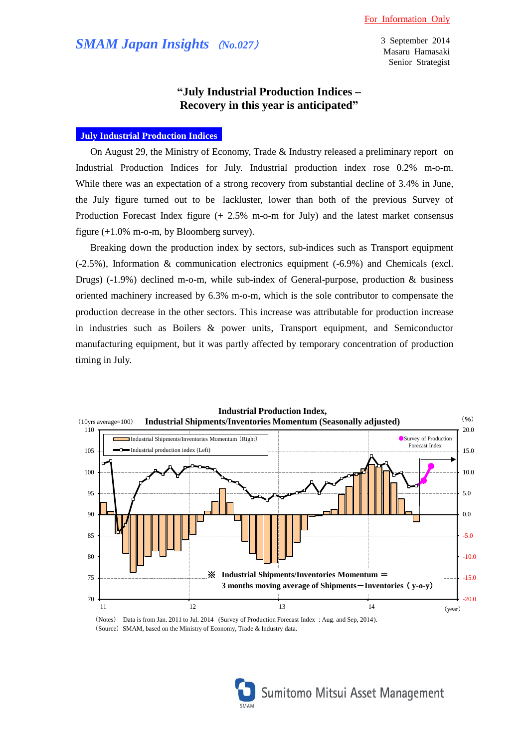# *SMAM Japan Insights* (*No.027*)

3 September 2014 Masaru Hamasaki Senior Strategist

## **"July Industrial Production Indices – Recovery in this year is anticipated"**

### **July Industrial Production Indices**

On August 29, the Ministry of Economy, Trade & Industry released a preliminary report on Industrial Production Indices for July. Industrial production index rose 0.2% m-o-m. While there was an expectation of a strong recovery from substantial decline of 3.4% in June, the July figure turned out to be lackluster, lower than both of the previous Survey of Production Forecast Index figure (+ 2.5% m-o-m for July) and the latest market consensus figure (+1.0% m-o-m, by Bloomberg survey).

Breaking down the production index by sectors, sub-indices such as Transport equipment (-2.5%), Information & communication electronics equipment (-6.9%) and Chemicals (excl. Drugs) (-1.9%) declined m-o-m, while sub-index of General-purpose, production & business oriented machinery increased by 6.3% m-o-m, which is the sole contributor to compensate the production decrease in the other sectors. This increase was attributable for production increase in industries such as Boilers & power units, Transport equipment, and Semiconductor manufacturing equipment, but it was partly affected by temporary concentration of production timing in July.



(Notes) Data is from Jan. 2011 to Jul. 2014 (Survey of Production Forecast Index : Aug. and Sep, 2014). (Source) SMAM, based on the Ministry of Economy, Trade & Industry data.